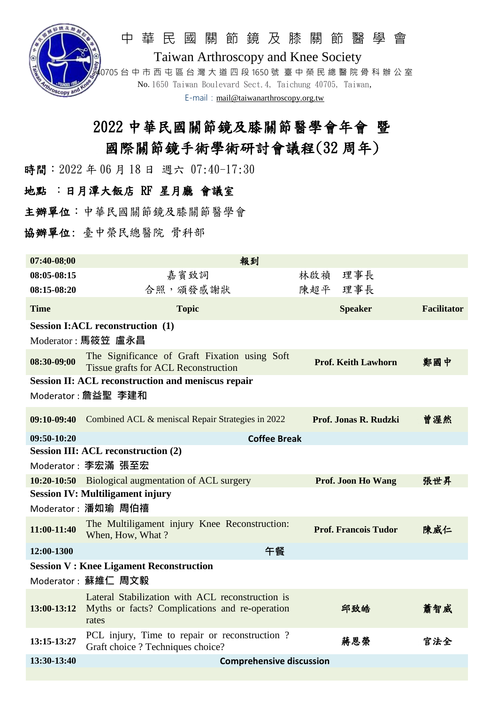

#### 中 華 民 國 關 節 鏡 及 膝 關 節 醫 學 會

Taiwan Arthroscopy and Knee Society 40705 台 中 市 西 屯 區 台 灣 大 道 四 段 1650 號 臺 中 榮 民 總 醫 院 骨 科 辦 公 室 No. 1650 Taiwan Boulevard Sect.4, Taichung 40705, Taiwan, E-mail: [mail@taiwanarthroscopy.org.tw](mailto:mail@taiwanarthroscopy.org.tw)

# 2022 中華民國關節鏡及膝關節醫學會年會 暨 國際關節鏡手術學術研討會議程(32 周年)

時間: 2022 年 06 月 18 日 週六 07:40-17:30

#### 地點 :日月潭大飯店 RF 星月廳 會議室

主辦單位:中華民國關節鏡及膝關節醫學會

協辦單位: 臺中榮民總醫院 骨科部

| 07:40-08:00                                               | 報到                                                                                                          |                             |                    |  |  |
|-----------------------------------------------------------|-------------------------------------------------------------------------------------------------------------|-----------------------------|--------------------|--|--|
| 08:05-08:15                                               | 嘉賓致詞                                                                                                        | 林啟禎 理事長                     |                    |  |  |
| 08:15-08:20                                               | 合照, 頒發感謝狀                                                                                                   | 陳超平 理事長                     |                    |  |  |
| <b>Time</b>                                               | <b>Topic</b>                                                                                                | <b>Speaker</b>              | <b>Facilitator</b> |  |  |
| <b>Session I:ACL reconstruction (1)</b>                   |                                                                                                             |                             |                    |  |  |
| Moderator: 馬筱笠 盧永昌                                        |                                                                                                             |                             |                    |  |  |
| 08:30-09:00                                               | The Significance of Graft Fixation using Soft<br><b>Tissue grafts for ACL Reconstruction</b>                | <b>Prof. Keith Lawhorn</b>  | 鄭國中                |  |  |
| <b>Session II: ACL reconstruction and meniscus repair</b> |                                                                                                             |                             |                    |  |  |
|                                                           | Moderator:詹益聖 李建和                                                                                           |                             |                    |  |  |
|                                                           | 09:10-09:40 Combined ACL & meniscal Repair Strategies in 2022                                               | Prof. Jonas R. Rudzki       | 曾渥然                |  |  |
| $09:50-10:20$                                             | <b>Coffee Break</b>                                                                                         |                             |                    |  |  |
| <b>Session III: ACL reconstruction (2)</b>                |                                                                                                             |                             |                    |  |  |
|                                                           | Moderator: 李宏滿 張至宏                                                                                          |                             |                    |  |  |
|                                                           | 10:20-10:50 Biological augmentation of ACL surgery                                                          | <b>Prof. Joon Ho Wang</b>   | 張世昇                |  |  |
| <b>Session IV: Multiligament injury</b>                   |                                                                                                             |                             |                    |  |  |
| Moderator: 潘如瑜 周伯禧                                        |                                                                                                             |                             |                    |  |  |
| 11:00-11:40                                               | The Multiligament injury Knee Reconstruction:<br>When, How, What?                                           | <b>Prof. Francois Tudor</b> | 陳威仁                |  |  |
| 12:00-1300                                                | 午餐                                                                                                          |                             |                    |  |  |
| <b>Session V: Knee Ligament Reconstruction</b>            |                                                                                                             |                             |                    |  |  |
|                                                           | Moderator: 蘇維仁 周文毅                                                                                          |                             |                    |  |  |
| 13:00-13:12                                               | Lateral Stabilization with ACL reconstruction is<br>Myths or facts? Complications and re-operation<br>rates | 邱致皓                         | 蕭智威                |  |  |
| 13:15-13:27                                               | PCL injury, Time to repair or reconstruction?<br>Graft choice ? Techniques choice?                          | 蔣恩榮                         | 官法全                |  |  |
| 13:30-13:40                                               | <b>Comprehensive discussion</b>                                                                             |                             |                    |  |  |